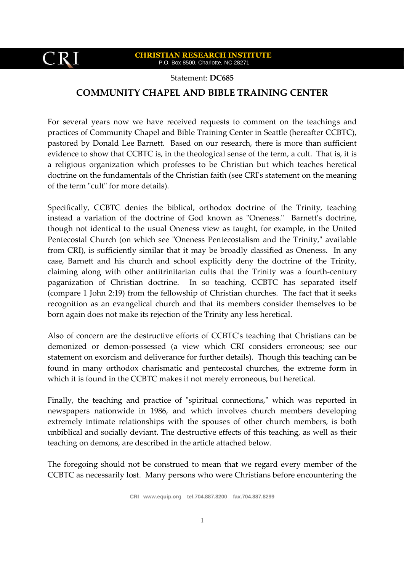$$
CRI
$$

Statement: **DC685**

## **COMMUNITY CHAPEL AND BIBLE TRAINING CENTER**

For several years now we have received requests to comment on the teachings and practices of Community Chapel and Bible Training Center in Seattle (hereafter CCBTC), pastored by Donald Lee Barnett. Based on our research, there is more than sufficient evidence to show that CCBTC is, in the theological sense of the term, a cult. That is, it is a religious organization which professes to be Christian but which teaches heretical doctrine on the fundamentals of the Christian faith (see CRI's statement on the meaning of the term "cult" for more details).

Specifically, CCBTC denies the biblical, orthodox doctrine of the Trinity, teaching instead a variation of the doctrine of God known as "Oneness." Barnett's doctrine, though not identical to the usual Oneness view as taught, for example, in the United Pentecostal Church (on which see "Oneness Pentecostalism and the Trinity," available from CRI), is sufficiently similar that it may be broadly classified as Oneness. In any case, Barnett and his church and school explicitly deny the doctrine of the Trinity, claiming along with other antitrinitarian cults that the Trinity was a fourth-century paganization of Christian doctrine. In so teaching, CCBTC has separated itself (compare 1 John 2:19) from the fellowship of Christian churches. The fact that it seeks recognition as an evangelical church and that its members consider themselves to be born again does not make its rejection of the Trinity any less heretical.

Also of concern are the destructive efforts of CCBTC's teaching that Christians can be demonized or demon-possessed (a view which CRI considers erroneous; see our statement on exorcism and deliverance for further details). Though this teaching can be found in many orthodox charismatic and pentecostal churches, the extreme form in which it is found in the CCBTC makes it not merely erroneous, but heretical.

Finally, the teaching and practice of "spiritual connections," which was reported in newspapers nationwide in 1986, and which involves church members developing extremely intimate relationships with the spouses of other church members, is both unbiblical and socially deviant. The destructive effects of this teaching, as well as their teaching on demons, are described in the article attached below.

The foregoing should not be construed to mean that we regard every member of the CCBTC as necessarily lost. Many persons who were Christians before encountering the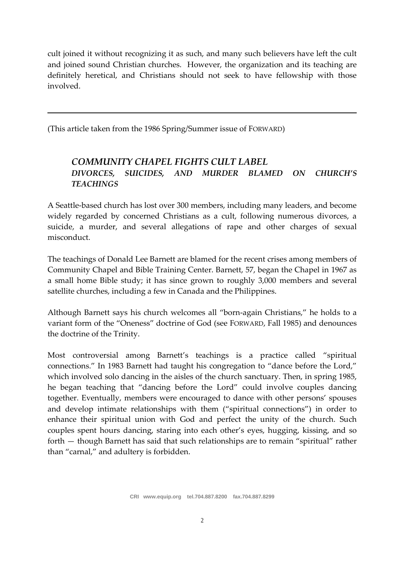cult joined it without recognizing it as such, and many such believers have left the cult and joined sound Christian churches. However, the organization and its teaching are definitely heretical, and Christians should not seek to have fellowship with those involved.

(This article taken from the 1986 Spring/Summer issue of FORWARD)

## *COMMUNITY CHAPEL FIGHTS CULT LABEL DIVORCES, SUICIDES, AND MURDER BLAMED ON CHURCH'S TEACHINGS*

A Seattle-based church has lost over 300 members, including many leaders, and become widely regarded by concerned Christians as a cult, following numerous divorces, a suicide, a murder, and several allegations of rape and other charges of sexual misconduct.

The teachings of Donald Lee Barnett are blamed for the recent crises among members of Community Chapel and Bible Training Center. Barnett, 57, began the Chapel in 1967 as a small home Bible study; it has since grown to roughly 3,000 members and several satellite churches, including a few in Canada and the Philippines.

Although Barnett says his church welcomes all "born-again Christians," he holds to a variant form of the "Oneness" doctrine of God (see FORWARD, Fall 1985) and denounces the doctrine of the Trinity.

Most controversial among Barnett's teachings is a practice called "spiritual connections." In 1983 Barnett had taught his congregation to "dance before the Lord," which involved solo dancing in the aisles of the church sanctuary. Then, in spring 1985, he began teaching that "dancing before the Lord" could involve couples dancing together. Eventually, members were encouraged to dance with other persons' spouses and develop intimate relationships with them ("spiritual connections") in order to enhance their spiritual union with God and perfect the unity of the church. Such couples spent hours dancing, staring into each other's eyes, hugging, kissing, and so forth — though Barnett has said that such relationships are to remain "spiritual" rather than "carnal," and adultery is forbidden.